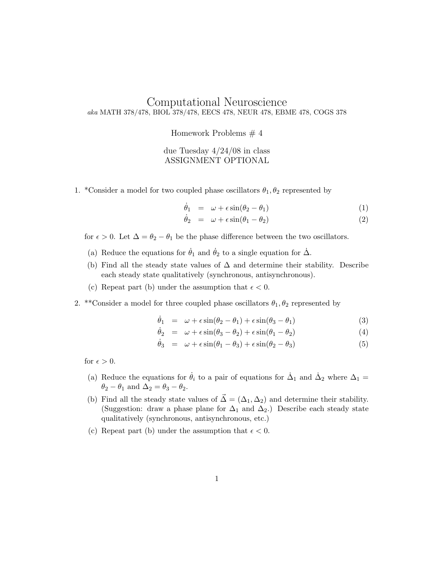## Computational Neuroscience aka MATH 378/478, BIOL 378/478, EECS 478, NEUR 478, EBME 478, COGS 378

Homework Problems # 4

## due Tuesday 4/24/08 in class ASSIGNMENT OPTIONAL

1. \*Consider a model for two coupled phase oscillators  $\theta_1, \theta_2$  represented by

$$
\dot{\theta}_1 = \omega + \epsilon \sin(\theta_2 - \theta_1) \tag{1}
$$

$$
\dot{\theta}_2 = \omega + \epsilon \sin(\theta_1 - \theta_2) \tag{2}
$$

- for  $\epsilon > 0$ . Let  $\Delta = \theta_2 \theta_1$  be the phase difference between the two oscillators.
- (a) Reduce the equations for  $\dot{\theta}_1$  and  $\dot{\theta}_2$  to a single equation for  $\dot{\Delta}$ .
- (b) Find all the steady state values of  $\Delta$  and determine their stability. Describe each steady state qualitatively (synchronous, antisynchronous).
- (c) Repeat part (b) under the assumption that  $\epsilon < 0$ .
- 2. \*\*Consider a model for three coupled phase oscillators  $\theta_1, \theta_2$  represented by

$$
\dot{\theta}_1 = \omega + \epsilon \sin(\theta_2 - \theta_1) + \epsilon \sin(\theta_3 - \theta_1) \tag{3}
$$

$$
\dot{\theta}_2 = \omega + \epsilon \sin(\theta_3 - \theta_2) + \epsilon \sin(\theta_1 - \theta_2) \tag{4}
$$

$$
\dot{\theta}_3 = \omega + \epsilon \sin(\theta_1 - \theta_3) + \epsilon \sin(\theta_2 - \theta_3) \tag{5}
$$

for  $\epsilon > 0$ .

- (a) Reduce the equations for  $\dot{\theta}_i$  to a pair of equations for  $\dot{\Delta}_1$  and  $\dot{\Delta}_2$  where  $\Delta_1$  $\theta_2 - \theta_1$  and  $\Delta_2 = \theta_3 - \theta_2$ .
- (b) Find all the steady state values of  $\vec{\Delta} = (\Delta_1, \Delta_2)$  and determine their stability. (Suggestion: draw a phase plane for  $\Delta_1$  and  $\Delta_2$ .) Describe each steady state qualitatively (synchronous, antisynchronous, etc.)
- (c) Repeat part (b) under the assumption that  $\epsilon < 0$ .